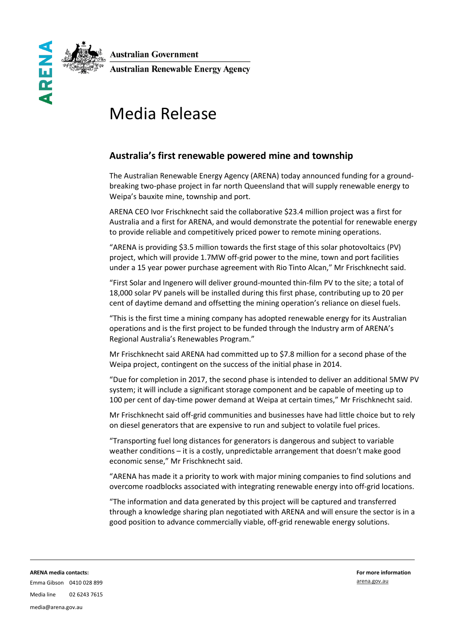**Australian Government** 



**Australian Renewable Energy Agency** 

# Media Release

## **Australia's first renewable powered mine and township**

The Australian Renewable Energy Agency (ARENA) today announced funding for a groundbreaking two-phase project in far north Queensland that will supply renewable energy to Weipa's bauxite mine, township and port.

ARENA CEO Ivor Frischknecht said the collaborative \$23.4 million project was a first for Australia and a first for ARENA, and would demonstrate the potential for renewable energy to provide reliable and competitively priced power to remote mining operations.

"ARENA is providing \$3.5 million towards the first stage of this solar photovoltaics (PV) project, which will provide 1.7MW off-grid power to the mine, town and port facilities under a 15 year power purchase agreement with Rio Tinto Alcan," Mr Frischknecht said.

"First Solar and Ingenero will deliver ground-mounted thin-film PV to the site; a total of 18,000 solar PV panels will be installed during this first phase, contributing up to 20 per cent of daytime demand and offsetting the mining operation's reliance on diesel fuels.

"This is the first time a mining company has adopted renewable energy for its Australian operations and is the first project to be funded through the Industry arm of ARENA's Regional Australia's Renewables Program."

Mr Frischknecht said ARENA had committed up to \$7.8 million for a second phase of the Weipa project, contingent on the success of the initial phase in 2014.

"Due for completion in 2017, the second phase is intended to deliver an additional 5MW PV system; it will include a significant storage component and be capable of meeting up to 100 per cent of day-time power demand at Weipa at certain times," Mr Frischknecht said.

Mr Frischknecht said off-grid communities and businesses have had little choice but to rely on diesel generators that are expensive to run and subject to volatile fuel prices.

"Transporting fuel long distances for generators is dangerous and subject to variable weather conditions – it is a costly, unpredictable arrangement that doesn't make good economic sense," Mr Frischknecht said.

"ARENA has made it a priority to work with major mining companies to find solutions and overcome roadblocks associated with integrating renewable energy into off-grid locations.

"The information and data generated by this project will be captured and transferred through a knowledge sharing plan negotiated with ARENA and will ensure the sector is in a good position to advance commercially viable, off-grid renewable energy solutions.

**ARENA media contacts:**  Emma Gibson 0410 028 899 **For more information** [arena.gov.au](http://www.arena.gov.au/)

# Media line 02 6243 7615